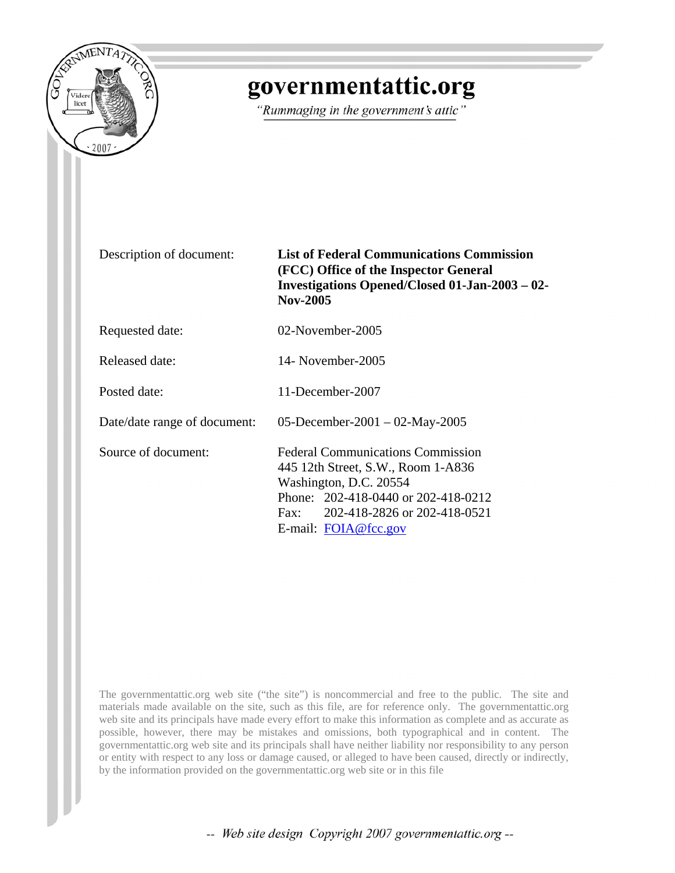

## governmentattic.org

"Rummaging in the government's attic"

Description of document: **List of Federal Communications Commission (FCC) Office of the Inspector General Investigations Opened/Closed 01-Jan-2003 – 02- Nov-2005** 

Requested date: 02-November-2005

Released date: 14- November-2005

Posted date: 11-December-2007

Date/date range of document: 05-December-2001 – 02-May-2005

Source of document: Federal Communications Commission 445 12th Street, S.W., Room 1-A836 Washington, D.C. 20554 Phone: 202-418-0440 or 202-418-0212 Fax: 202-418-2826 or 202-418-0521 E-mail: [FOIA@fcc.gov](mailto:FOIA@fcc.gov)

The governmentattic.org web site ("the site") is noncommercial and free to the public. The site and materials made available on the site, such as this file, are for reference only. The governmentattic.org web site and its principals have made every effort to make this information as complete and as accurate as possible, however, there may be mistakes and omissions, both typographical and in content. The governmentattic.org web site and its principals shall have neither liability nor responsibility to any person or entity with respect to any loss or damage caused, or alleged to have been caused, directly or indirectly, by the information provided on the governmentattic.org web site or in this file

-- Web site design Copyright 2007 governmentattic.org --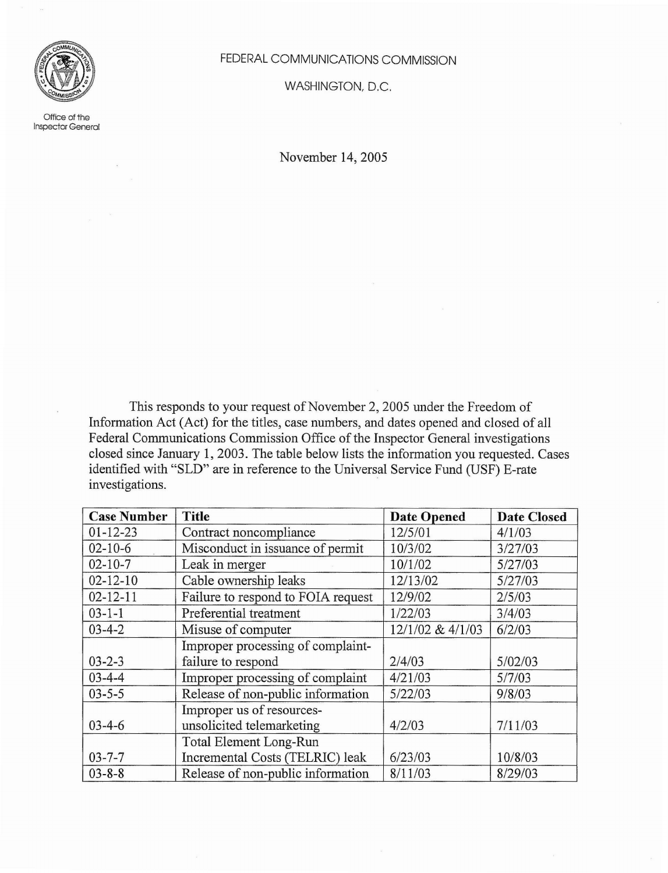

Office of the Inspector General FEDERAL COMMUNICATIONS COMMISSION

WASHINGTON, D,C.

November 14, 2005

This responds to your request of November 2, 2005 under the Freedom of Information Act (Act) for the titles, case numbers, and dates opened and closed of all Federal Communications Commission Office of the Inspector General investigations closed since January 1,2003. The table below lists the information you requested. Cases identified with "SLD" are in reference to the Universal Service Fund (USF) E-rate investigations.

| <b>Case Number</b> | <b>Title</b>                       | <b>Date Opened</b> | <b>Date Closed</b> |
|--------------------|------------------------------------|--------------------|--------------------|
| $01 - 12 - 23$     | Contract noncompliance             | 12/5/01            | 4/1/03             |
| $02 - 10 - 6$      | Misconduct in issuance of permit   | 10/3/02            | 3/27/03            |
| $02 - 10 - 7$      | Leak in merger                     | 10/1/02            | 5/27/03            |
| $02 - 12 - 10$     | Cable ownership leaks              | 12/13/02           | 5/27/03            |
| $02 - 12 - 11$     | Failure to respond to FOIA request | 12/9/02            | 2/5/03             |
| $03 - 1 - 1$       | Preferential treatment             | 1/22/03            | 3/4/03             |
| $03 - 4 - 2$       | Misuse of computer                 | 12/1/02 & 4/1/03   | 6/2/03             |
|                    | Improper processing of complaint-  |                    |                    |
| $03 - 2 - 3$       | failure to respond                 | 2/4/03             | 5/02/03            |
| $03 - 4 - 4$       | Improper processing of complaint   | 4/21/03            | 5/7/03             |
| $03 - 5 - 5$       | Release of non-public information  | 5/22/03            | 9/8/03             |
|                    | Improper us of resources-          |                    |                    |
| $03 - 4 - 6$       | unsolicited telemarketing          | 4/2/03             | 7/11/03            |
|                    | Total Element Long-Run             |                    |                    |
| $03 - 7 - 7$       | Incremental Costs (TELRIC) leak    | 6/23/03            | 10/8/03            |
| $03 - 8 - 8$       | Release of non-public information  | 8/11/03            | 8/29/03            |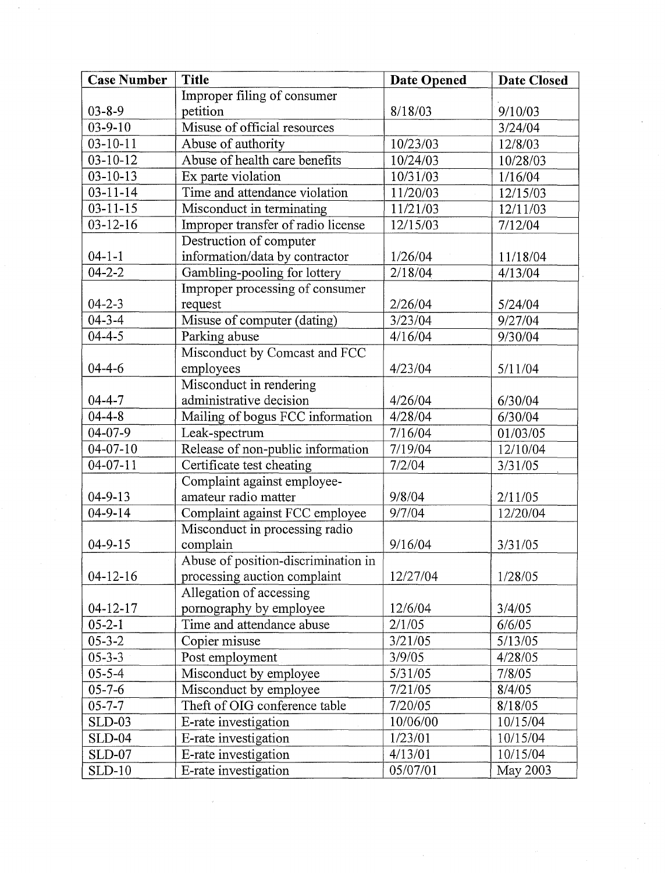| Improper filing of consumer<br>$03 - 8 - 9$<br>petition<br>8/18/03<br>9/10/03<br>$03 - 9 - 10$<br>Misuse of official resources<br>3/24/04<br>$03 - 10 - 11$<br>Abuse of authority<br>10/23/03<br>12/8/03<br>Abuse of health care benefits<br>$03 - 10 - 12$<br>10/24/03<br>10/28/03<br>$03 - 10 - 13$<br>Ex parte violation<br>10/31/03<br>1/16/04<br>$03 - 11 - 14$<br>Time and attendance violation<br>11/20/03<br>12/15/03<br>$03 - 11 - 15$<br>Misconduct in terminating<br>11/21/03<br>12/11/03<br>$03 - 12 - 16$<br>Improper transfer of radio license<br>12/15/03<br>7/12/04<br>Destruction of computer<br>information/data by contractor<br>$04 - 1 - 1$<br>1/26/04<br>11/18/04<br>$04 - 2 - 2$<br>Gambling-pooling for lottery<br>2/18/04<br>4/13/04<br>Improper processing of consumer<br>$04 - 2 - 3$<br>2/26/04<br>request<br>5/24/04<br>$04 - 3 - 4$<br>Misuse of computer (dating)<br>3/23/04<br>9/27/04<br>$04 - 4 - 5$<br>Parking abuse<br>4/16/04<br>9/30/04<br>Misconduct by Comcast and FCC<br>$04 - 4 - 6$<br>4/23/04<br>employees<br>5/11/04<br>Misconduct in rendering<br>administrative decision<br>$04 - 4 - 7$<br>4/26/04<br>6/30/04<br>$04 - 4 - 8$<br>Mailing of bogus FCC information<br>4/28/04<br>6/30/04<br>$04 - 07 - 9$<br>Leak-spectrum<br>7/16/04<br>01/03/05<br>Release of non-public information<br>$04 - 07 - 10$<br>7/19/04<br>12/10/04<br>$04 - 07 - 11$<br>Certificate test cheating<br>7/2/04<br>3/31/05<br>Complaint against employee-<br>amateur radio matter<br>$04 - 9 - 13$<br>9/8/04<br>2/11/05<br>$04 - 9 - 14$<br>Complaint against FCC employee<br>9/7/04<br>12/20/04 | <b>Case Number</b> | <b>Title</b>                   | <b>Date Opened</b> | <b>Date Closed</b> |
|--------------------------------------------------------------------------------------------------------------------------------------------------------------------------------------------------------------------------------------------------------------------------------------------------------------------------------------------------------------------------------------------------------------------------------------------------------------------------------------------------------------------------------------------------------------------------------------------------------------------------------------------------------------------------------------------------------------------------------------------------------------------------------------------------------------------------------------------------------------------------------------------------------------------------------------------------------------------------------------------------------------------------------------------------------------------------------------------------------------------------------------------------------------------------------------------------------------------------------------------------------------------------------------------------------------------------------------------------------------------------------------------------------------------------------------------------------------------------------------------------------------------------------------------------------------------------------------------------------------------------|--------------------|--------------------------------|--------------------|--------------------|
|                                                                                                                                                                                                                                                                                                                                                                                                                                                                                                                                                                                                                                                                                                                                                                                                                                                                                                                                                                                                                                                                                                                                                                                                                                                                                                                                                                                                                                                                                                                                                                                                                          |                    |                                |                    |                    |
|                                                                                                                                                                                                                                                                                                                                                                                                                                                                                                                                                                                                                                                                                                                                                                                                                                                                                                                                                                                                                                                                                                                                                                                                                                                                                                                                                                                                                                                                                                                                                                                                                          |                    |                                |                    |                    |
|                                                                                                                                                                                                                                                                                                                                                                                                                                                                                                                                                                                                                                                                                                                                                                                                                                                                                                                                                                                                                                                                                                                                                                                                                                                                                                                                                                                                                                                                                                                                                                                                                          |                    |                                |                    |                    |
|                                                                                                                                                                                                                                                                                                                                                                                                                                                                                                                                                                                                                                                                                                                                                                                                                                                                                                                                                                                                                                                                                                                                                                                                                                                                                                                                                                                                                                                                                                                                                                                                                          |                    |                                |                    |                    |
|                                                                                                                                                                                                                                                                                                                                                                                                                                                                                                                                                                                                                                                                                                                                                                                                                                                                                                                                                                                                                                                                                                                                                                                                                                                                                                                                                                                                                                                                                                                                                                                                                          |                    |                                |                    |                    |
|                                                                                                                                                                                                                                                                                                                                                                                                                                                                                                                                                                                                                                                                                                                                                                                                                                                                                                                                                                                                                                                                                                                                                                                                                                                                                                                                                                                                                                                                                                                                                                                                                          |                    |                                |                    |                    |
|                                                                                                                                                                                                                                                                                                                                                                                                                                                                                                                                                                                                                                                                                                                                                                                                                                                                                                                                                                                                                                                                                                                                                                                                                                                                                                                                                                                                                                                                                                                                                                                                                          |                    |                                |                    |                    |
|                                                                                                                                                                                                                                                                                                                                                                                                                                                                                                                                                                                                                                                                                                                                                                                                                                                                                                                                                                                                                                                                                                                                                                                                                                                                                                                                                                                                                                                                                                                                                                                                                          |                    |                                |                    |                    |
|                                                                                                                                                                                                                                                                                                                                                                                                                                                                                                                                                                                                                                                                                                                                                                                                                                                                                                                                                                                                                                                                                                                                                                                                                                                                                                                                                                                                                                                                                                                                                                                                                          |                    |                                |                    |                    |
|                                                                                                                                                                                                                                                                                                                                                                                                                                                                                                                                                                                                                                                                                                                                                                                                                                                                                                                                                                                                                                                                                                                                                                                                                                                                                                                                                                                                                                                                                                                                                                                                                          |                    |                                |                    |                    |
|                                                                                                                                                                                                                                                                                                                                                                                                                                                                                                                                                                                                                                                                                                                                                                                                                                                                                                                                                                                                                                                                                                                                                                                                                                                                                                                                                                                                                                                                                                                                                                                                                          |                    |                                |                    |                    |
|                                                                                                                                                                                                                                                                                                                                                                                                                                                                                                                                                                                                                                                                                                                                                                                                                                                                                                                                                                                                                                                                                                                                                                                                                                                                                                                                                                                                                                                                                                                                                                                                                          |                    |                                |                    |                    |
|                                                                                                                                                                                                                                                                                                                                                                                                                                                                                                                                                                                                                                                                                                                                                                                                                                                                                                                                                                                                                                                                                                                                                                                                                                                                                                                                                                                                                                                                                                                                                                                                                          |                    |                                |                    |                    |
|                                                                                                                                                                                                                                                                                                                                                                                                                                                                                                                                                                                                                                                                                                                                                                                                                                                                                                                                                                                                                                                                                                                                                                                                                                                                                                                                                                                                                                                                                                                                                                                                                          |                    |                                |                    |                    |
|                                                                                                                                                                                                                                                                                                                                                                                                                                                                                                                                                                                                                                                                                                                                                                                                                                                                                                                                                                                                                                                                                                                                                                                                                                                                                                                                                                                                                                                                                                                                                                                                                          |                    |                                |                    |                    |
|                                                                                                                                                                                                                                                                                                                                                                                                                                                                                                                                                                                                                                                                                                                                                                                                                                                                                                                                                                                                                                                                                                                                                                                                                                                                                                                                                                                                                                                                                                                                                                                                                          |                    |                                |                    |                    |
|                                                                                                                                                                                                                                                                                                                                                                                                                                                                                                                                                                                                                                                                                                                                                                                                                                                                                                                                                                                                                                                                                                                                                                                                                                                                                                                                                                                                                                                                                                                                                                                                                          |                    |                                |                    |                    |
|                                                                                                                                                                                                                                                                                                                                                                                                                                                                                                                                                                                                                                                                                                                                                                                                                                                                                                                                                                                                                                                                                                                                                                                                                                                                                                                                                                                                                                                                                                                                                                                                                          |                    |                                |                    |                    |
|                                                                                                                                                                                                                                                                                                                                                                                                                                                                                                                                                                                                                                                                                                                                                                                                                                                                                                                                                                                                                                                                                                                                                                                                                                                                                                                                                                                                                                                                                                                                                                                                                          |                    |                                |                    |                    |
|                                                                                                                                                                                                                                                                                                                                                                                                                                                                                                                                                                                                                                                                                                                                                                                                                                                                                                                                                                                                                                                                                                                                                                                                                                                                                                                                                                                                                                                                                                                                                                                                                          |                    |                                |                    |                    |
|                                                                                                                                                                                                                                                                                                                                                                                                                                                                                                                                                                                                                                                                                                                                                                                                                                                                                                                                                                                                                                                                                                                                                                                                                                                                                                                                                                                                                                                                                                                                                                                                                          |                    |                                |                    |                    |
|                                                                                                                                                                                                                                                                                                                                                                                                                                                                                                                                                                                                                                                                                                                                                                                                                                                                                                                                                                                                                                                                                                                                                                                                                                                                                                                                                                                                                                                                                                                                                                                                                          |                    |                                |                    |                    |
|                                                                                                                                                                                                                                                                                                                                                                                                                                                                                                                                                                                                                                                                                                                                                                                                                                                                                                                                                                                                                                                                                                                                                                                                                                                                                                                                                                                                                                                                                                                                                                                                                          |                    |                                |                    |                    |
|                                                                                                                                                                                                                                                                                                                                                                                                                                                                                                                                                                                                                                                                                                                                                                                                                                                                                                                                                                                                                                                                                                                                                                                                                                                                                                                                                                                                                                                                                                                                                                                                                          |                    |                                |                    |                    |
|                                                                                                                                                                                                                                                                                                                                                                                                                                                                                                                                                                                                                                                                                                                                                                                                                                                                                                                                                                                                                                                                                                                                                                                                                                                                                                                                                                                                                                                                                                                                                                                                                          |                    |                                |                    |                    |
|                                                                                                                                                                                                                                                                                                                                                                                                                                                                                                                                                                                                                                                                                                                                                                                                                                                                                                                                                                                                                                                                                                                                                                                                                                                                                                                                                                                                                                                                                                                                                                                                                          |                    |                                |                    |                    |
|                                                                                                                                                                                                                                                                                                                                                                                                                                                                                                                                                                                                                                                                                                                                                                                                                                                                                                                                                                                                                                                                                                                                                                                                                                                                                                                                                                                                                                                                                                                                                                                                                          |                    |                                |                    |                    |
|                                                                                                                                                                                                                                                                                                                                                                                                                                                                                                                                                                                                                                                                                                                                                                                                                                                                                                                                                                                                                                                                                                                                                                                                                                                                                                                                                                                                                                                                                                                                                                                                                          |                    | Misconduct in processing radio |                    |                    |
| $04 - 9 - 15$<br>complain<br>9/16/04<br>3/31/05                                                                                                                                                                                                                                                                                                                                                                                                                                                                                                                                                                                                                                                                                                                                                                                                                                                                                                                                                                                                                                                                                                                                                                                                                                                                                                                                                                                                                                                                                                                                                                          |                    |                                |                    |                    |
| Abuse of position-discrimination in                                                                                                                                                                                                                                                                                                                                                                                                                                                                                                                                                                                                                                                                                                                                                                                                                                                                                                                                                                                                                                                                                                                                                                                                                                                                                                                                                                                                                                                                                                                                                                                      |                    |                                |                    |                    |
| processing auction complaint<br>12/27/04<br>1/28/05<br>$04 - 12 - 16$                                                                                                                                                                                                                                                                                                                                                                                                                                                                                                                                                                                                                                                                                                                                                                                                                                                                                                                                                                                                                                                                                                                                                                                                                                                                                                                                                                                                                                                                                                                                                    |                    |                                |                    |                    |
| Allegation of accessing                                                                                                                                                                                                                                                                                                                                                                                                                                                                                                                                                                                                                                                                                                                                                                                                                                                                                                                                                                                                                                                                                                                                                                                                                                                                                                                                                                                                                                                                                                                                                                                                  |                    |                                |                    |                    |
| $04 - 12 - 17$<br>pornography by employee<br>12/6/04<br>3/4/05                                                                                                                                                                                                                                                                                                                                                                                                                                                                                                                                                                                                                                                                                                                                                                                                                                                                                                                                                                                                                                                                                                                                                                                                                                                                                                                                                                                                                                                                                                                                                           |                    |                                |                    |                    |
| Time and attendance abuse<br>$05 - 2 - 1$<br>2/1/05<br>6/6/05                                                                                                                                                                                                                                                                                                                                                                                                                                                                                                                                                                                                                                                                                                                                                                                                                                                                                                                                                                                                                                                                                                                                                                                                                                                                                                                                                                                                                                                                                                                                                            |                    |                                |                    |                    |
| $05 - 3 - 2$<br>3/21/05<br>Copier misuse<br>5/13/05                                                                                                                                                                                                                                                                                                                                                                                                                                                                                                                                                                                                                                                                                                                                                                                                                                                                                                                                                                                                                                                                                                                                                                                                                                                                                                                                                                                                                                                                                                                                                                      |                    |                                |                    |                    |
| $05 - 3 - 3$<br>Post employment<br>3/9/05<br>4/28/05                                                                                                                                                                                                                                                                                                                                                                                                                                                                                                                                                                                                                                                                                                                                                                                                                                                                                                                                                                                                                                                                                                                                                                                                                                                                                                                                                                                                                                                                                                                                                                     |                    |                                |                    |                    |
| $05 - 5 - 4$<br>5/31/05<br>Misconduct by employee<br>7/8/05                                                                                                                                                                                                                                                                                                                                                                                                                                                                                                                                                                                                                                                                                                                                                                                                                                                                                                                                                                                                                                                                                                                                                                                                                                                                                                                                                                                                                                                                                                                                                              |                    |                                |                    |                    |
| $05 - 7 - 6$<br>7/21/05<br>Misconduct by employee<br>8/4/05                                                                                                                                                                                                                                                                                                                                                                                                                                                                                                                                                                                                                                                                                                                                                                                                                                                                                                                                                                                                                                                                                                                                                                                                                                                                                                                                                                                                                                                                                                                                                              |                    |                                |                    |                    |
| $05 - 7 - 7$<br>Theft of OIG conference table<br>7/20/05<br>8/18/05                                                                                                                                                                                                                                                                                                                                                                                                                                                                                                                                                                                                                                                                                                                                                                                                                                                                                                                                                                                                                                                                                                                                                                                                                                                                                                                                                                                                                                                                                                                                                      |                    |                                |                    |                    |
| <b>SLD-03</b><br>E-rate investigation<br>10/06/00<br>10/15/04                                                                                                                                                                                                                                                                                                                                                                                                                                                                                                                                                                                                                                                                                                                                                                                                                                                                                                                                                                                                                                                                                                                                                                                                                                                                                                                                                                                                                                                                                                                                                            |                    |                                |                    |                    |
| <b>SLD-04</b><br>1/23/01<br>10/15/04<br>E-rate investigation                                                                                                                                                                                                                                                                                                                                                                                                                                                                                                                                                                                                                                                                                                                                                                                                                                                                                                                                                                                                                                                                                                                                                                                                                                                                                                                                                                                                                                                                                                                                                             |                    |                                |                    |                    |
| 10/15/04<br><b>SLD-07</b><br>E-rate investigation<br>4/13/01                                                                                                                                                                                                                                                                                                                                                                                                                                                                                                                                                                                                                                                                                                                                                                                                                                                                                                                                                                                                                                                                                                                                                                                                                                                                                                                                                                                                                                                                                                                                                             |                    |                                |                    |                    |
| 05/07/01<br><b>SLD-10</b><br>E-rate investigation                                                                                                                                                                                                                                                                                                                                                                                                                                                                                                                                                                                                                                                                                                                                                                                                                                                                                                                                                                                                                                                                                                                                                                                                                                                                                                                                                                                                                                                                                                                                                                        |                    |                                |                    | May 2003           |

 $\mathcal{L}_{\mathcal{L}}$ 

 $\mathcal{A}^{\text{c}}$  ,  $\mathcal{A}^{\text{c}}$